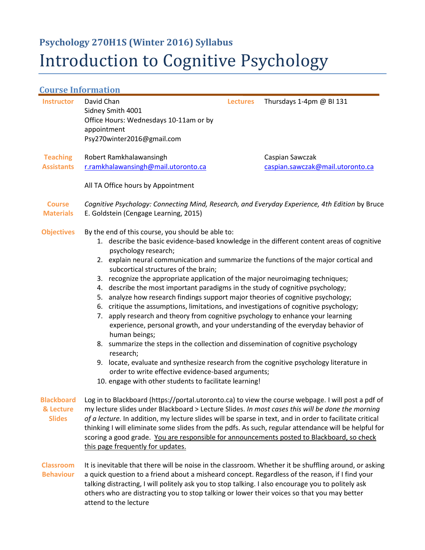# **Psychology 270H1S (Winter 2016) Syllabus** Introduction to Cognitive Psychology

# **Course Information**

| <b>Instructor</b>                               | David Chan<br>Sidney Smith 4001<br>Office Hours: Wednesdays 10-11am or by<br>appointment<br>Psy270winter2016@gmail.com                                                                                                                                                                                                                                                                                                                                                                                                                                                                                                                                                                                                                                                                                                                                                                                                                                                                                                                                                                                                                                                  | <b>Lectures</b> | Thursdays 1-4pm @ BI 131                            |  |  |  |
|-------------------------------------------------|-------------------------------------------------------------------------------------------------------------------------------------------------------------------------------------------------------------------------------------------------------------------------------------------------------------------------------------------------------------------------------------------------------------------------------------------------------------------------------------------------------------------------------------------------------------------------------------------------------------------------------------------------------------------------------------------------------------------------------------------------------------------------------------------------------------------------------------------------------------------------------------------------------------------------------------------------------------------------------------------------------------------------------------------------------------------------------------------------------------------------------------------------------------------------|-----------------|-----------------------------------------------------|--|--|--|
| <b>Teaching</b><br><b>Assistants</b>            | Robert Ramkhalawansingh<br>r.ramkhalawansingh@mail.utoronto.ca                                                                                                                                                                                                                                                                                                                                                                                                                                                                                                                                                                                                                                                                                                                                                                                                                                                                                                                                                                                                                                                                                                          |                 | Caspian Sawczak<br>caspian.sawczak@mail.utoronto.ca |  |  |  |
|                                                 | All TA Office hours by Appointment                                                                                                                                                                                                                                                                                                                                                                                                                                                                                                                                                                                                                                                                                                                                                                                                                                                                                                                                                                                                                                                                                                                                      |                 |                                                     |  |  |  |
| <b>Course</b><br><b>Materials</b>               | Cognitive Psychology: Connecting Mind, Research, and Everyday Experience, 4th Edition by Bruce<br>E. Goldstein (Cengage Learning, 2015)                                                                                                                                                                                                                                                                                                                                                                                                                                                                                                                                                                                                                                                                                                                                                                                                                                                                                                                                                                                                                                 |                 |                                                     |  |  |  |
| <b>Objectives</b>                               | By the end of this course, you should be able to:<br>1. describe the basic evidence-based knowledge in the different content areas of cognitive<br>psychology research;<br>2. explain neural communication and summarize the functions of the major cortical and<br>subcortical structures of the brain;<br>3. recognize the appropriate application of the major neuroimaging techniques;<br>4. describe the most important paradigms in the study of cognitive psychology;<br>analyze how research findings support major theories of cognitive psychology;<br>5.<br>critique the assumptions, limitations, and investigations of cognitive psychology;<br>6.<br>apply research and theory from cognitive psychology to enhance your learning<br>7.<br>experience, personal growth, and your understanding of the everyday behavior of<br>human beings;<br>8. summarize the steps in the collection and dissemination of cognitive psychology<br>research;<br>9. locate, evaluate and synthesize research from the cognitive psychology literature in<br>order to write effective evidence-based arguments;<br>10. engage with other students to facilitate learning! |                 |                                                     |  |  |  |
| <b>Blackboard</b><br>& Lecture<br><b>Slides</b> | Log in to Blackboard (https://portal.utoronto.ca) to view the course webpage. I will post a pdf of<br>my lecture slides under Blackboard > Lecture Slides. In most cases this will be done the morning<br>of a lecture. In addition, my lecture slides will be sparse in text, and in order to facilitate critical<br>thinking I will eliminate some slides from the pdfs. As such, regular attendance will be helpful for<br>scoring a good grade. You are responsible for announcements posted to Blackboard, so check<br>this page frequently for updates.                                                                                                                                                                                                                                                                                                                                                                                                                                                                                                                                                                                                           |                 |                                                     |  |  |  |
| <b>Classroom</b><br><b>Behaviour</b>            | It is inevitable that there will be noise in the classroom. Whether it be shuffling around, or asking<br>a quick question to a friend about a misheard concept. Regardless of the reason, if I find your<br>talking distracting, I will politely ask you to stop talking. I also encourage you to politely ask<br>others who are distracting you to stop talking or lower their voices so that you may better                                                                                                                                                                                                                                                                                                                                                                                                                                                                                                                                                                                                                                                                                                                                                           |                 |                                                     |  |  |  |

attend to the lecture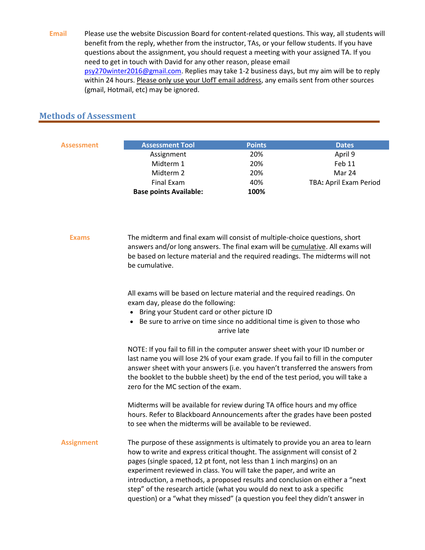**Email** Please use the website Discussion Board for content-related questions. This way, all students will benefit from the reply, whether from the instructor, TAs, or your fellow students. If you have questions about the assignment, you should request a meeting with your assigned TA. If you need to get in touch with David for any other reason, please email [psy270winter2016@gmail.com.](mailto:psy270winter2016@gmail.com) Replies may take 1-2 business days, but my aim will be to reply within 24 hours. Please only use your UofT email address, any emails sent from other sources (gmail, Hotmail, etc) may be ignored.

### **Methods of Assessment**

| Assessment        | <b>Assessment Tool</b>                                                                                                                                                                                                                                                                                                                                                                                                                                                                                                                                   | <b>Points</b> | <b>Dates</b>           |  |  |
|-------------------|----------------------------------------------------------------------------------------------------------------------------------------------------------------------------------------------------------------------------------------------------------------------------------------------------------------------------------------------------------------------------------------------------------------------------------------------------------------------------------------------------------------------------------------------------------|---------------|------------------------|--|--|
|                   | Assignment                                                                                                                                                                                                                                                                                                                                                                                                                                                                                                                                               | 20%           | April 9                |  |  |
|                   | Midterm 1<br>Midterm 2                                                                                                                                                                                                                                                                                                                                                                                                                                                                                                                                   | 20%<br>20%    | Feb 11<br>Mar 24       |  |  |
|                   | <b>Final Exam</b>                                                                                                                                                                                                                                                                                                                                                                                                                                                                                                                                        | 40%           |                        |  |  |
|                   | <b>Base points Available:</b>                                                                                                                                                                                                                                                                                                                                                                                                                                                                                                                            | 100%          | TBA: April Exam Period |  |  |
|                   |                                                                                                                                                                                                                                                                                                                                                                                                                                                                                                                                                          |               |                        |  |  |
| <b>Exams</b>      | The midterm and final exam will consist of multiple-choice questions, short<br>answers and/or long answers. The final exam will be cumulative. All exams will<br>be based on lecture material and the required readings. The midterms will not<br>be cumulative.                                                                                                                                                                                                                                                                                         |               |                        |  |  |
|                   | All exams will be based on lecture material and the required readings. On<br>exam day, please do the following:<br>• Bring your Student card or other picture ID<br>Be sure to arrive on time since no additional time is given to those who<br>arrive late                                                                                                                                                                                                                                                                                              |               |                        |  |  |
|                   | NOTE: If you fail to fill in the computer answer sheet with your ID number or<br>last name you will lose 2% of your exam grade. If you fail to fill in the computer<br>answer sheet with your answers (i.e. you haven't transferred the answers from<br>the booklet to the bubble sheet) by the end of the test period, you will take a<br>zero for the MC section of the exam.                                                                                                                                                                          |               |                        |  |  |
|                   | Midterms will be available for review during TA office hours and my office<br>hours. Refer to Blackboard Announcements after the grades have been posted<br>to see when the midterms will be available to be reviewed.                                                                                                                                                                                                                                                                                                                                   |               |                        |  |  |
| <b>Assignment</b> | The purpose of these assignments is ultimately to provide you an area to learn<br>how to write and express critical thought. The assignment will consist of 2<br>pages (single spaced, 12 pt font, not less than 1 inch margins) on an<br>experiment reviewed in class. You will take the paper, and write an<br>introduction, a methods, a proposed results and conclusion on either a "next<br>step" of the research article (what you would do next to ask a specific<br>question) or a "what they missed" (a question you feel they didn't answer in |               |                        |  |  |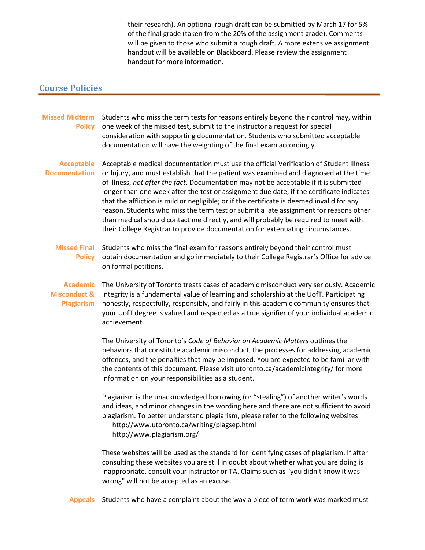their research). An optional rough draft can be submitted by March 17 for 5% of the final grade (taken from the 20% of the assignment grade). Comments will be given to those who submit a rough draft. A more extensive assignment handout will be available on Blackboard. Please review the assignment handout for more information.

#### **Course Policies**

| <b>Missed Midterm</b><br><b>Policy</b>                          | Students who miss the term tests for reasons entirely beyond their control may, within<br>one week of the missed test, submit to the instructor a request for special<br>consideration with supporting documentation. Students who submitted acceptable<br>documentation will have the weighting of the final exam accordingly                                                                                                                                                                                                                                                                                                                                                                                                         |
|-----------------------------------------------------------------|----------------------------------------------------------------------------------------------------------------------------------------------------------------------------------------------------------------------------------------------------------------------------------------------------------------------------------------------------------------------------------------------------------------------------------------------------------------------------------------------------------------------------------------------------------------------------------------------------------------------------------------------------------------------------------------------------------------------------------------|
| <b>Acceptable</b><br><b>Documentation</b>                       | Acceptable medical documentation must use the official Verification of Student Illness<br>or Injury, and must establish that the patient was examined and diagnosed at the time<br>of illness, not after the fact. Documentation may not be acceptable if it is submitted<br>longer than one week after the test or assignment due date; if the certificate indicates<br>that the affliction is mild or negligible; or if the certificate is deemed invalid for any<br>reason. Students who miss the term test or submit a late assignment for reasons other<br>than medical should contact me directly, and will probably be required to meet with<br>their College Registrar to provide documentation for extenuating circumstances. |
| <b>Missed Final</b><br><b>Policy</b>                            | Students who miss the final exam for reasons entirely beyond their control must<br>obtain documentation and go immediately to their College Registrar's Office for advice<br>on formal petitions.                                                                                                                                                                                                                                                                                                                                                                                                                                                                                                                                      |
| <b>Academic</b><br><b>Misconduct &amp;</b><br><b>Plagiarism</b> | The University of Toronto treats cases of academic misconduct very seriously. Academic<br>integrity is a fundamental value of learning and scholarship at the UofT. Participating<br>honestly, respectfully, responsibly, and fairly in this academic community ensures that<br>your UofT degree is valued and respected as a true signifier of your individual academic<br>achievement.                                                                                                                                                                                                                                                                                                                                               |
|                                                                 | The University of Toronto's Code of Behavior on Academic Matters outlines the<br>behaviors that constitute academic misconduct, the processes for addressing academic<br>offences, and the penalties that may be imposed. You are expected to be familiar with<br>the contents of this document. Please visit utoronto.ca/academicintegrity/ for more<br>information on your responsibilities as a student.                                                                                                                                                                                                                                                                                                                            |
|                                                                 | Plagiarism is the unacknowledged borrowing (or "stealing") of another writer's words<br>and ideas, and minor changes in the wording here and there are not sufficient to avoid<br>plagiarism. To better understand plagiarism, please refer to the following websites:<br>http://www.utoronto.ca/writing/plagsep.html<br>http://www.plagiarism.org/                                                                                                                                                                                                                                                                                                                                                                                    |
|                                                                 | These websites will be used as the standard for identifying cases of plagiarism. If after<br>consulting these websites you are still in doubt about whether what you are doing is<br>inappropriate, consult your instructor or TA. Claims such as "you didn't know it was<br>wrong" will not be accepted as an excuse.                                                                                                                                                                                                                                                                                                                                                                                                                 |

**Appeals** Students who have a complaint about the way a piece of term work was marked must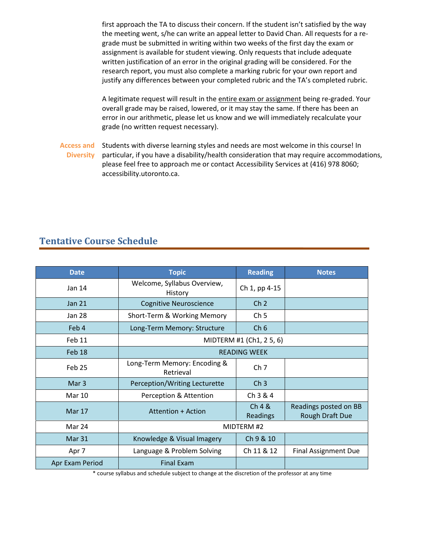first approach the TA to discuss their concern. If the student isn't satisfied by the way the meeting went, s/he can write an appeal letter to David Chan. All requests for a regrade must be submitted in writing within two weeks of the first day the exam or assignment is available for student viewing. Only requests that include adequate written justification of an error in the original grading will be considered. For the research report, you must also complete a marking rubric for your own report and justify any differences between your completed rubric and the TA's completed rubric.

A legitimate request will result in the entire exam or assignment being re-graded. Your overall grade may be raised, lowered, or it may stay the same. If there has been an error in our arithmetic, please let us know and we will immediately recalculate your grade (no written request necessary).

**Access and Diversity** Students with diverse learning styles and needs are most welcome in this course! In particular, if you have a disability/health consideration that may require accommodations, please feel free to approach me or contact Accessibility Services at (416) 978 8060; accessibility.utoronto.ca.

## **Tentative Course Schedule**

| <b>Date</b>     | <b>Topic</b>                              | <b>Reading</b>     | <b>Notes</b>                                    |  |
|-----------------|-------------------------------------------|--------------------|-------------------------------------------------|--|
| Jan 14          | Welcome, Syllabus Overview,<br>History    | Ch 1, pp 4-15      |                                                 |  |
| <b>Jan 21</b>   | <b>Cognitive Neuroscience</b>             | Ch <sub>2</sub>    |                                                 |  |
| Jan 28          | Short-Term & Working Memory               | Ch <sub>5</sub>    |                                                 |  |
| Feb 4           | Long-Term Memory: Structure               | Ch <sub>6</sub>    |                                                 |  |
| Feb 11          | MIDTERM #1 (Ch1, 2 5, 6)                  |                    |                                                 |  |
| Feb 18          | <b>READING WEEK</b>                       |                    |                                                 |  |
| Feb 25          | Long-Term Memory: Encoding &<br>Retrieval | Ch <sub>7</sub>    |                                                 |  |
| Mar 3           | Perception/Writing Lecturette             | Ch <sub>3</sub>    |                                                 |  |
| <b>Mar 10</b>   | Perception & Attention                    | Ch 3 & 4           |                                                 |  |
| Mar 17          | Attention + Action                        | Ch 4 &<br>Readings | Readings posted on BB<br><b>Rough Draft Due</b> |  |
| Mar 24          | MIDTERM #2                                |                    |                                                 |  |
| Mar 31          | Knowledge & Visual Imagery                | Ch 9 & 10          |                                                 |  |
| Apr 7           | Language & Problem Solving                | Ch 11 & 12         | <b>Final Assignment Due</b>                     |  |
| Apr Exam Period | <b>Final Exam</b>                         |                    |                                                 |  |

\* course syllabus and schedule subject to change at the discretion of the professor at any time